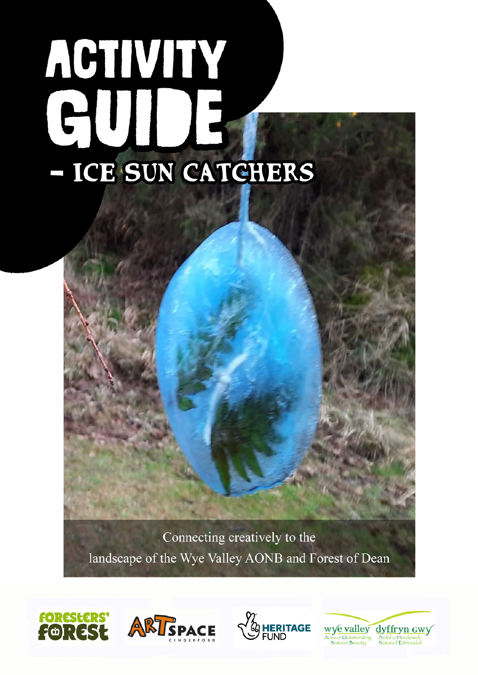# ACTIVITY HII 15 - ICE SUN CATCHERS

Connecting creatively to the landscape of the Wye Valley AONB and Forest of Dean







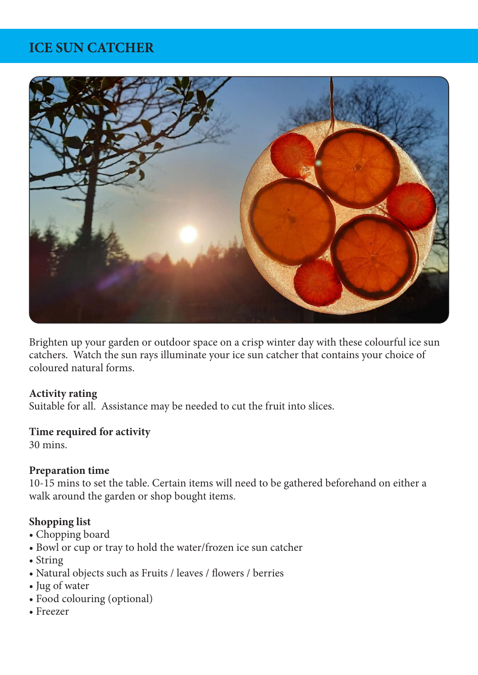# **ICE SUN CATCHER**



Brighten up your garden or outdoor space on a crisp winter day with these colourful ice sun catchers. Watch the sun rays illuminate your ice sun catcher that contains your choice of coloured natural forms.

#### **Activity rating**

Suitable for all. Assistance may be needed to cut the fruit into slices.

#### **Time required for activity**

30 mins.

### **Preparation time**

10-15 mins to set the table. Certain items will need to be gathered beforehand on either a walk around the garden or shop bought items.

### **Shopping list**

- Chopping board
- Bowl or cup or tray to hold the water/frozen ice sun catcher
- String
- Natural objects such as Fruits / leaves / flowers / berries
- Jug of water
- Food colouring (optional)
- Freezer